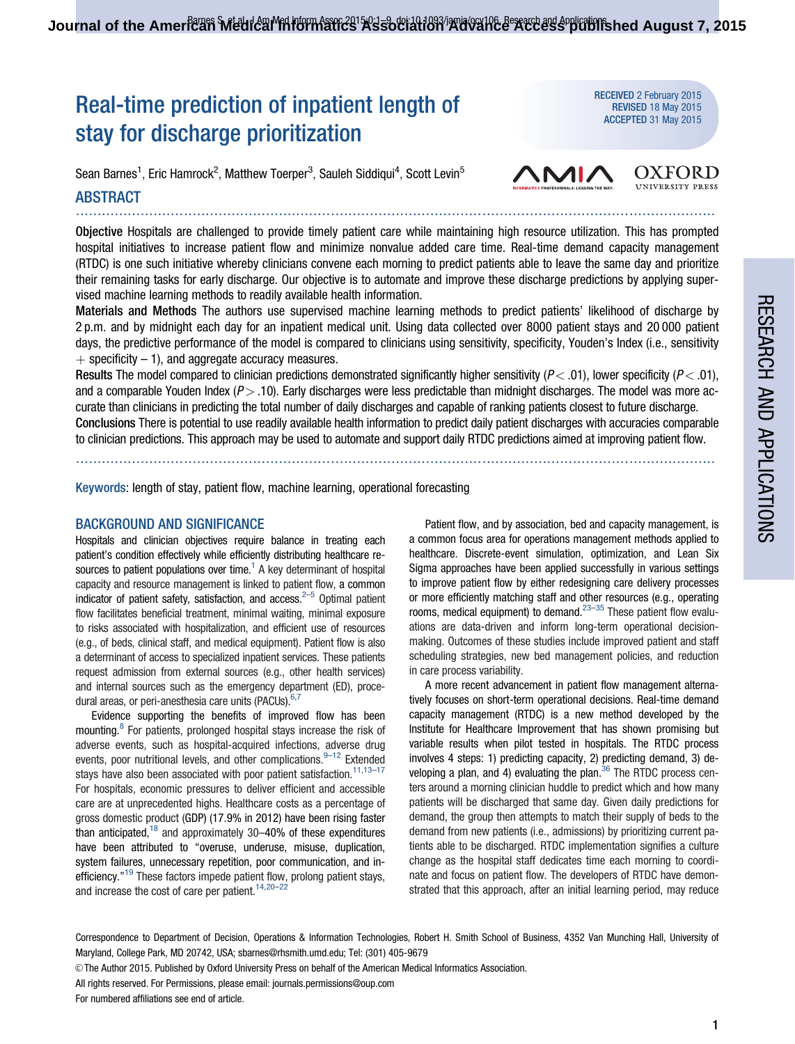# Real-time prediction of inpatient length of stay for discharge prioritization

Sean Barnes $^1$ , Eric Hamrock $^2$ , Matthew Toerper $^3$ , Sauleh Siddiqui $^4$ , Scott Levin $^5$ 

# ABSTRACT ....................................................................................................................................................

Objective Hospitals are challenged to provide timely patient care while maintaining high resource utilization. This has prompted hospital initiatives to increase patient flow and minimize nonvalue added care time. Real-time demand capacity management (RTDC) is one such initiative whereby clinicians convene each morning to predict patients able to leave the same day and prioritize their remaining tasks for early discharge. Our objective is to automate and improve these discharge predictions by applying supervised machine learning methods to readily available health information.

Materials and Methods The authors use supervised machine learning methods to predict patients' likelihood of discharge by 2 p.m. and by midnight each day for an inpatient medical unit. Using data collected over 8000 patient stays and 20 000 patient days, the predictive performance of the model is compared to clinicians using sensitivity, specificity, Youden's Index (i.e., sensitivity  $+$  specificity – 1), and aggregate accuracy measures.

Results The model compared to clinician predictions demonstrated significantly higher sensitivity ( $P < .01$ ), lower specificity ( $P < .01$ ), and a comparable Youden Index  $(P > .10)$ . Early discharges were less predictable than midnight discharges. The model was more accurate than clinicians in predicting the total number of daily discharges and capable of ranking patients closest to future discharge. Conclusions There is potential to use readily available health information to predict daily patient discharges with accuracies comparable to clinician predictions. This approach may be used to automate and support daily RTDC predictions aimed at improving patient flow.

....................................................................................................................................................

Keywords: length of stay, patient flow, machine learning, operational forecasting

## BACKGROUND AND SIGNIFICANCE

Hospitals and clinician objectives require balance in treating each patient's condition effectively while efficiently distributing healthcare resources to patient populations over time.<sup>1</sup> A key determinant of hospital capacity and resource management is linked to patient flow, a common indicator of patient safety, satisfaction, and access. $2-5$  $2-5$  Optimal patient flow facilitates beneficial treatment, minimal waiting, minimal exposure to risks associated with hospitalization, and efficient use of resources (e.g., of beds, clinical staff, and medical equipment). Patient flow is also a determinant of access to specialized inpatient services. These patients request admission from external sources (e.g., other health services) and internal sources such as the emergency department (ED), proce-dural areas, or peri-anesthesia care units (PACUs).<sup>[6,7](#page-7-0)</sup>

Evidence supporting the benefits of improved flow has been mounting.<sup>[8](#page-7-0)</sup> For patients, prolonged hospital stays increase the risk of adverse events, such as hospital-acquired infections, adverse drug events, poor nutritional levels, and other complications.  $9-12$  Extended stays have also been associated with poor patient satisfaction.<sup>[11,13–17](#page-7-0)</sup> For hospitals, economic pressures to deliver efficient and accessible care are at unprecedented highs. Healthcare costs as a percentage of gross domestic product (GDP) (17.9% in 2012) have been rising faster than anticipated, $18$  and approximately 30-40% of these expenditures have been attributed to "overuse, underuse, misuse, duplication, system failures, unnecessary repetition, poor communication, and inefficiency."[19](#page-7-0) These factors impede patient flow, prolong patient stays, and increase the cost of care per patient.<sup>[14,20–22](#page-7-0)</sup>

Patient flow, and by association, bed and capacity management, is a common focus area for operations management methods applied to healthcare. Discrete-event simulation, optimization, and Lean Six Sigma approaches have been applied successfully in various settings to improve patient flow by either redesigning care delivery processes or more efficiently matching staff and other resources (e.g., operating rooms, medical equipment) to demand. $23-35$  These patient flow evaluations are data-driven and inform long-term operational decisionmaking. Outcomes of these studies include improved patient and staff scheduling strategies, new bed management policies, and reduction in care process variability.

A more recent advancement in patient flow management alternatively focuses on short-term operational decisions. Real-time demand capacity management (RTDC) is a new method developed by the Institute for Healthcare Improvement that has shown promising but variable results when pilot tested in hospitals. The RTDC process involves 4 steps: 1) predicting capacity, 2) predicting demand, 3) developing a plan, and 4) evaluating the plan. $36$  The RTDC process centers around a morning clinician huddle to predict which and how many patients will be discharged that same day. Given daily predictions for demand, the group then attempts to match their supply of beds to the demand from new patients (i.e., admissions) by prioritizing current patients able to be discharged. RTDC implementation signifies a culture change as the hospital staff dedicates time each morning to coordinate and focus on patient flow. The developers of RTDC have demonstrated that this approach, after an initial learning period, may reduce

Correspondence to Department of Decision, Operations & Information Technologies, Robert H. Smith School of Business, 4352 Van Munching Hall, University of Maryland, College Park, MD 20742, USA; sbarnes@rhsmith.umd.edu; Tel: (301) 405-9679

V<sup>C</sup> The Author 2015. Published by Oxford University Press on behalf of the American Medical Informatics Association.

All rights reserved. For Permissions, please email: journals.permissions@oup.com

For numbered affiliations see end of article.



RECEIVED 2 February 2015 **REVISED 18 May 2015**<br>**ACCEPTED 31 May 2015** 

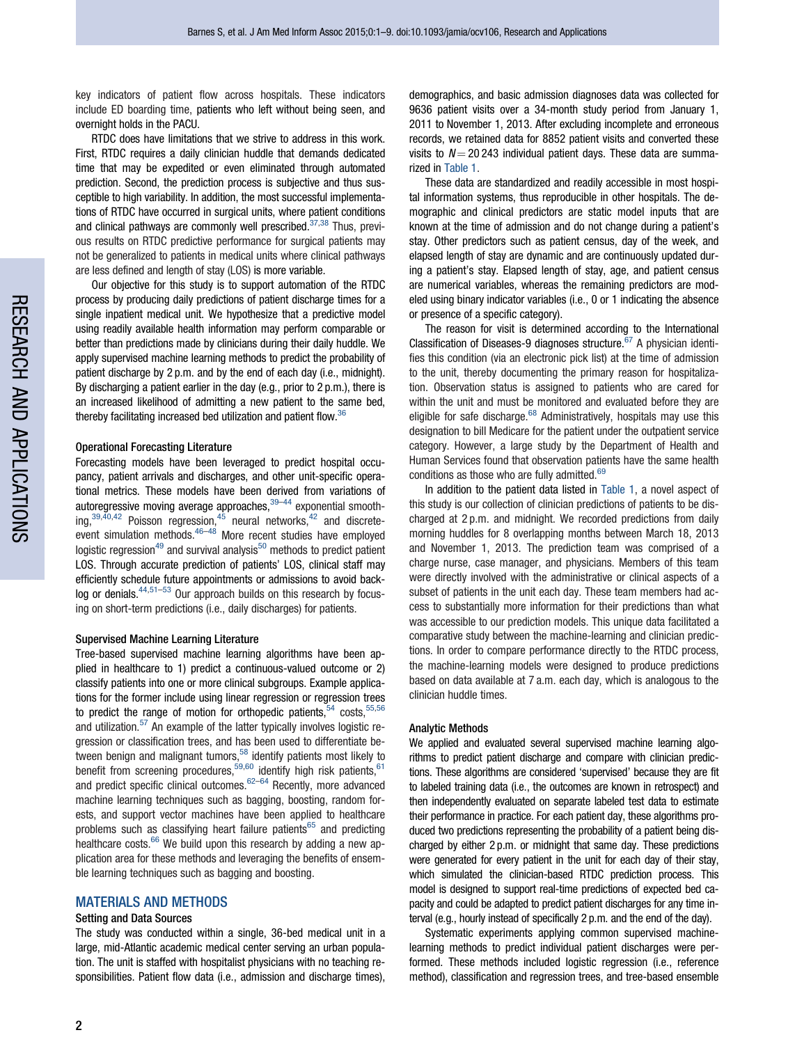key indicators of patient flow across hospitals. These indicators include ED boarding time, patients who left without being seen, and overnight holds in the PACU.

RTDC does have limitations that we strive to address in this work. First, RTDC requires a daily clinician huddle that demands dedicated time that may be expedited or even eliminated through automated prediction. Second, the prediction process is subjective and thus susceptible to high variability. In addition, the most successful implementations of RTDC have occurred in surgical units, where patient conditions and clinical pathways are commonly well prescribed. $37,38$  $37,38$  Thus, previous results on RTDC predictive performance for surgical patients may not be generalized to patients in medical units where clinical pathways are less defined and length of stay (LOS) is more variable.

Our objective for this study is to support automation of the RTDC process by producing daily predictions of patient discharge times for a single inpatient medical unit. We hypothesize that a predictive model using readily available health information may perform comparable or better than predictions made by clinicians during their daily huddle. We apply supervised machine learning methods to predict the probability of patient discharge by 2 p.m. and by the end of each day (i.e., midnight). By discharging a patient earlier in the day (e.g., prior to 2 p.m.), there is an increased likelihood of admitting a new patient to the same bed, thereby facilitating increased bed utilization and patient flow.[36](#page-7-0)

#### Operational Forecasting Literature

Forecasting models have been leveraged to predict hospital occupancy, patient arrivals and discharges, and other unit-specific operational metrics. These models have been derived from variations of autoregressive moving average approaches,  $39-44$  exponential smoothing, $39,40,42$  $39,40,42$  $39,40,42$  $39,40,42$  $39,40,42$  Poisson regression, $45$  neural networks, $42$  and discrete-event simulation methods.<sup>[46–48](#page-8-0)</sup> More recent studies have employed logistic regression<sup>[49](#page-8-0)</sup> and survival analysis<sup>[50](#page-8-0)</sup> methods to predict patient LOS. Through accurate prediction of patients' LOS, clinical staff may efficiently schedule future appointments or admissions to avoid backlog or denials. $44,51-53$  $44,51-53$  $44,51-53$  $44,51-53$  $44,51-53$  Our approach builds on this research by focusing on short-term predictions (i.e., daily discharges) for patients.

#### Supervised Machine Learning Literature

Tree-based supervised machine learning algorithms have been applied in healthcare to 1) predict a continuous-valued outcome or 2) classify patients into one or more clinical subgroups. Example applications for the former include using linear regression or regression trees to predict the range of motion for orthopedic patients,  $54$  costs,  $55,56$ and utilization.[57](#page-8-0) An example of the latter typically involves logistic regression or classification trees, and has been used to differentiate between benign and malignant tumors, $58$  identify patients most likely to benefit from screening procedures,<sup>[59](#page-8-0),[60](#page-8-0)</sup> identify high risk patients,  $61$ and predict specific clinical outcomes.[62–64](#page-8-0) Recently, more advanced machine learning techniques such as bagging, boosting, random forests, and support vector machines have been applied to healthcare problems such as classifying heart failure patients $65$  and predicting healthcare costs. $66$  We build upon this research by adding a new application area for these methods and leveraging the benefits of ensemble learning techniques such as bagging and boosting.

## MATERIALS AND METHODS

## Setting and Data Sources

The study was conducted within a single, 36-bed medical unit in a large, mid-Atlantic academic medical center serving an urban population. The unit is staffed with hospitalist physicians with no teaching responsibilities. Patient flow data (i.e., admission and discharge times),

demographics, and basic admission diagnoses data was collected for 9636 patient visits over a 34-month study period from January 1, 2011 to November 1, 2013. After excluding incomplete and erroneous records, we retained data for 8852 patient visits and converted these visits to  $N = 20243$  individual patient days. These data are summarized in [Table 1](#page-2-0).

These data are standardized and readily accessible in most hospital information systems, thus reproducible in other hospitals. The demographic and clinical predictors are static model inputs that are known at the time of admission and do not change during a patient's stay. Other predictors such as patient census, day of the week, and elapsed length of stay are dynamic and are continuously updated during a patient's stay. Elapsed length of stay, age, and patient census are numerical variables, whereas the remaining predictors are modeled using binary indicator variables (i.e., 0 or 1 indicating the absence or presence of a specific category).

The reason for visit is determined according to the International Classification of Diseases-9 diagnoses structure. $67$  A physician identifies this condition (via an electronic pick list) at the time of admission to the unit, thereby documenting the primary reason for hospitalization. Observation status is assigned to patients who are cared for within the unit and must be monitored and evaluated before they are eligible for safe discharge. $68$  Administratively, hospitals may use this designation to bill Medicare for the patient under the outpatient service category. However, a large study by the Department of Health and Human Services found that observation patients have the same health conditions as those who are fully admitted.<sup>[69](#page-8-0)</sup>

In addition to the patient data listed in [Table 1,](#page-2-0) a novel aspect of this study is our collection of clinician predictions of patients to be discharged at 2 p.m. and midnight. We recorded predictions from daily morning huddles for 8 overlapping months between March 18, 2013 and November 1, 2013. The prediction team was comprised of a charge nurse, case manager, and physicians. Members of this team were directly involved with the administrative or clinical aspects of a subset of patients in the unit each day. These team members had access to substantially more information for their predictions than what was accessible to our prediction models. This unique data facilitated a comparative study between the machine-learning and clinician predictions. In order to compare performance directly to the RTDC process, the machine-learning models were designed to produce predictions based on data available at 7 a.m. each day, which is analogous to the clinician huddle times.

#### Analytic Methods

We applied and evaluated several supervised machine learning algorithms to predict patient discharge and compare with clinician predictions. These algorithms are considered 'supervised' because they are fit to labeled training data (i.e., the outcomes are known in retrospect) and then independently evaluated on separate labeled test data to estimate their performance in practice. For each patient day, these algorithms produced two predictions representing the probability of a patient being discharged by either 2 p.m. or midnight that same day. These predictions were generated for every patient in the unit for each day of their stay, which simulated the clinician-based RTDC prediction process. This model is designed to support real-time predictions of expected bed capacity and could be adapted to predict patient discharges for any time interval (e.g., hourly instead of specifically 2 p.m. and the end of the day).

Systematic experiments applying common supervised machinelearning methods to predict individual patient discharges were performed. These methods included logistic regression (i.e., reference method), classification and regression trees, and tree-based ensemble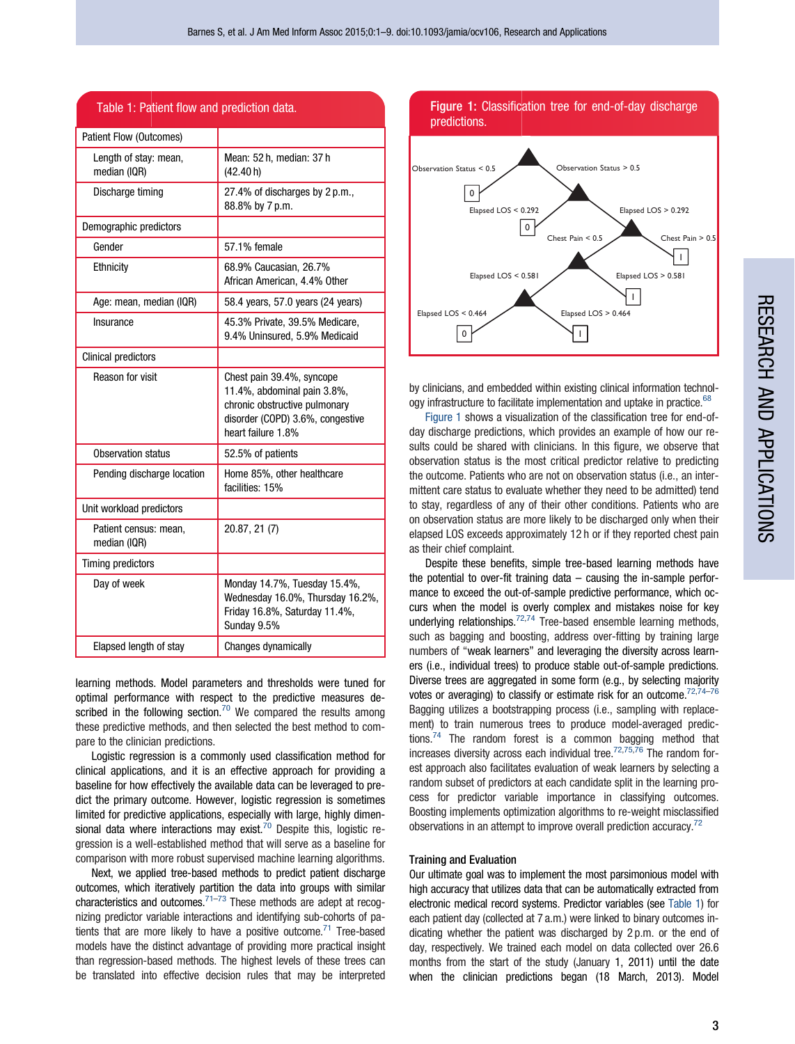<span id="page-2-0"></span>

| Table 1: Patient flow and prediction data. |                                                                                                                                                     |  |  |  |  |  |
|--------------------------------------------|-----------------------------------------------------------------------------------------------------------------------------------------------------|--|--|--|--|--|
| <b>Patient Flow (Outcomes)</b>             |                                                                                                                                                     |  |  |  |  |  |
| Length of stay: mean,<br>median (IQR)      | Mean: 52 h, median: 37 h<br>(42.40 h)                                                                                                               |  |  |  |  |  |
| Discharge timing                           | 27.4% of discharges by 2 p.m.,<br>88.8% by 7 p.m.                                                                                                   |  |  |  |  |  |
| Demographic predictors                     |                                                                                                                                                     |  |  |  |  |  |
| Gender                                     | 57.1% female                                                                                                                                        |  |  |  |  |  |
| Ethnicity                                  | 68.9% Caucasian, 26.7%<br>African American, 4.4% Other                                                                                              |  |  |  |  |  |
| Age: mean, median (IQR)                    | 58.4 years, 57.0 years (24 years)                                                                                                                   |  |  |  |  |  |
| Insurance                                  | 45.3% Private, 39.5% Medicare,<br>9.4% Uninsured, 5.9% Medicaid                                                                                     |  |  |  |  |  |
| <b>Clinical predictors</b>                 |                                                                                                                                                     |  |  |  |  |  |
| Reason for visit                           | Chest pain 39.4%, syncope<br>11.4%, abdominal pain 3.8%,<br>chronic obstructive pulmonary<br>disorder (COPD) 3.6%, congestive<br>heart failure 1.8% |  |  |  |  |  |
| Observation status                         | 52.5% of patients                                                                                                                                   |  |  |  |  |  |
| Pending discharge location                 | Home 85%, other healthcare<br>facilities: 15%                                                                                                       |  |  |  |  |  |
| Unit workload predictors                   |                                                                                                                                                     |  |  |  |  |  |
| Patient census: mean,<br>median (IQR)      | 20.87, 21 (7)                                                                                                                                       |  |  |  |  |  |
| Timing predictors                          |                                                                                                                                                     |  |  |  |  |  |
| Day of week                                | Monday 14.7%, Tuesday 15.4%,<br>Wednesday 16.0%, Thursday 16.2%,<br>Friday 16.8%, Saturday 11.4%,<br>Sunday 9.5%                                    |  |  |  |  |  |
| Elapsed length of stay                     | Changes dynamically                                                                                                                                 |  |  |  |  |  |

learning methods. Model parameters and thresholds were tuned for optimal performance with respect to the predictive measures de-scribed in the following section.<sup>[70](#page-8-0)</sup> We compared the results among these predictive methods, and then selected the best method to compare to the clinician predictions.

Logistic regression is a commonly used classification method for clinical applications, and it is an effective approach for providing a baseline for how effectively the available data can be leveraged to predict the primary outcome. However, logistic regression is sometimes limited for predictive applications, especially with large, highly dimensional data where interactions may exist. $70$  Despite this, logistic regression is a well-established method that will serve as a baseline for comparison with more robust supervised machine learning algorithms.

Next, we applied tree-based methods to predict patient discharge outcomes, which iteratively partition the data into groups with similar characteristics and outcomes. $71-73$  These methods are adept at recognizing predictor variable interactions and identifying sub-cohorts of patients that are more likely to have a positive outcome. $71$  Tree-based models have the distinct advantage of providing more practical insight than regression-based methods. The highest levels of these trees can be translated into effective decision rules that may be interpreted

## Figure 1: Classification tree for end-of-day discharge predictions.



by clinicians, and embedded within existing clinical information technol-ogy infrastructure to facilitate implementation and uptake in practice.<sup>[68](#page-8-0)</sup>

Figure 1 shows a visualization of the classification tree for end-ofday discharge predictions, which provides an example of how our results could be shared with clinicians. In this figure, we observe that observation status is the most critical predictor relative to predicting the outcome. Patients who are not on observation status (i.e., an intermittent care status to evaluate whether they need to be admitted) tend to stay, regardless of any of their other conditions. Patients who are on observation status are more likely to be discharged only when their elapsed LOS exceeds approximately 12 h or if they reported chest pain as their chief complaint.

Despite these benefits, simple tree-based learning methods have the potential to over-fit training data – causing the in-sample performance to exceed the out-of-sample predictive performance, which occurs when the model is overly complex and mistakes noise for key underlying relationships. $72,74$  Tree-based ensemble learning methods, such as bagging and boosting, address over-fitting by training large numbers of "weak learners" and leveraging the diversity across learners (i.e., individual trees) to produce stable out-of-sample predictions. Diverse trees are aggregated in some form (e.g., by selecting majority votes or averaging) to classify or estimate risk for an outcome. $72,74$ Bagging utilizes a bootstrapping process (i.e., sampling with replacement) to train numerous trees to produce model-averaged predictions.<sup>74</sup> The random forest is a common bagging method that increases diversity across each individual tree.<sup>[72](#page-8-0),[75,76](#page-8-0)</sup> The random forest approach also facilitates evaluation of weak learners by selecting a random subset of predictors at each candidate split in the learning process for predictor variable importance in classifying outcomes. Boosting implements optimization algorithms to re-weight misclassified observations in an attempt to improve overall prediction accuracy.<sup>[72](#page-8-0)</sup>

#### Training and Evaluation

Our ultimate goal was to implement the most parsimonious model with high accuracy that utilizes data that can be automatically extracted from electronic medical record systems. Predictor variables (see Table 1) for each patient day (collected at 7 a.m.) were linked to binary outcomes indicating whether the patient was discharged by 2 p.m. or the end of day, respectively. We trained each model on data collected over 26.6 months from the start of the study (January 1, 2011) until the date when the clinician predictions began (18 March, 2013). Model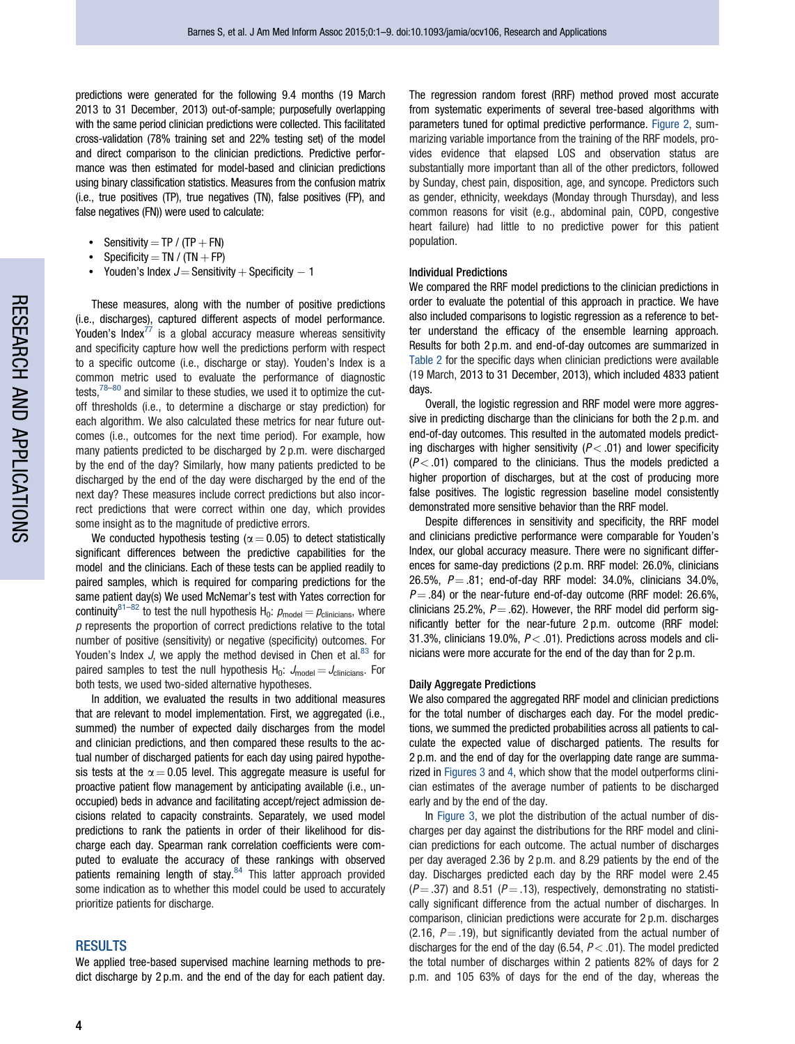predictions were generated for the following 9.4 months (19 March 2013 to 31 December, 2013) out-of-sample; purposefully overlapping with the same period clinician predictions were collected. This facilitated cross-validation (78% training set and 22% testing set) of the model and direct comparison to the clinician predictions. Predictive performance was then estimated for model-based and clinician predictions using binary classification statistics. Measures from the confusion matrix (i.e., true positives (TP), true negatives (TN), false positives (FP), and false negatives (FN)) were used to calculate:

- Sensitivity = TP / (TP  $+$  FN)
- Specificity =  $TN / (TN + FP)$
- Youden's Index  $J=$  Sensitivity  $+$  Specificity  $-$  1

These measures, along with the number of positive predictions (i.e., discharges), captured different aspects of model performance. Youden's Index $^{77}$  $^{77}$  $^{77}$  is a global accuracy measure whereas sensitivity and specificity capture how well the predictions perform with respect to a specific outcome (i.e., discharge or stay). Youden's Index is a common metric used to evaluate the performance of diagnostic tests, $78-80$  and similar to these studies, we used it to optimize the cutoff thresholds (i.e., to determine a discharge or stay prediction) for each algorithm. We also calculated these metrics for near future outcomes (i.e., outcomes for the next time period). For example, how many patients predicted to be discharged by 2 p.m. were discharged by the end of the day? Similarly, how many patients predicted to be discharged by the end of the day were discharged by the end of the next day? These measures include correct predictions but also incorrect predictions that were correct within one day, which provides some insight as to the magnitude of predictive errors.

We conducted hypothesis testing ( $\alpha = 0.05$ ) to detect statistically significant differences between the predictive capabilities for the model and the clinicians. Each of these tests can be applied readily to paired samples, which is required for comparing predictions for the same patient day(s) We used McNemar's test with Yates correction for continuity<sup>[81–82](#page-8-0)</sup> to test the null hypothesis H<sub>0</sub>:  $p_{\text{model}} = p_{\text{clinicians}}$ , where  $p$  represents the proportion of correct predictions relative to the total number of positive (sensitivity) or negative (specificity) outcomes. For Youden's Index J, we apply the method devised in Chen et al. $83$  for paired samples to test the null hypothesis  $H_0$ :  $J_{model} = J_{clinicians}$ . For both tests, we used two-sided alternative hypotheses.

In addition, we evaluated the results in two additional measures that are relevant to model implementation. First, we aggregated (i.e., summed) the number of expected daily discharges from the model and clinician predictions, and then compared these results to the actual number of discharged patients for each day using paired hypothesis tests at the  $\alpha = 0.05$  level. This aggregate measure is useful for proactive patient flow management by anticipating available (i.e., unoccupied) beds in advance and facilitating accept/reject admission decisions related to capacity constraints. Separately, we used model predictions to rank the patients in order of their likelihood for discharge each day. Spearman rank correlation coefficients were computed to evaluate the accuracy of these rankings with observed patients remaining length of stay.<sup>84</sup> This latter approach provided some indication as to whether this model could be used to accurately prioritize patients for discharge.

## RESULTS

We applied tree-based supervised machine learning methods to predict discharge by 2 p.m. and the end of the day for each patient day. The regression random forest (RRF) method proved most accurate from systematic experiments of several tree-based algorithms with parameters tuned for optimal predictive performance. [Figure 2](#page-4-0), summarizing variable importance from the training of the RRF models, provides evidence that elapsed LOS and observation status are substantially more important than all of the other predictors, followed by Sunday, chest pain, disposition, age, and syncope. Predictors such as gender, ethnicity, weekdays (Monday through Thursday), and less common reasons for visit (e.g., abdominal pain, COPD, congestive heart failure) had little to no predictive power for this patient population.

#### Individual Predictions

We compared the RRF model predictions to the clinician predictions in order to evaluate the potential of this approach in practice. We have also included comparisons to logistic regression as a reference to better understand the efficacy of the ensemble learning approach. Results for both 2 p.m. and end-of-day outcomes are summarized in [Table 2](#page-5-0) for the specific days when clinician predictions were available (19 March, 2013 to 31 December, 2013), which included 4833 patient days.

Overall, the logistic regression and RRF model were more aggressive in predicting discharge than the clinicians for both the 2 p.m. and end-of-day outcomes. This resulted in the automated models predicting discharges with higher sensitivity  $(P < .01)$  and lower specificity  $(P < .01)$  compared to the clinicians. Thus the models predicted a higher proportion of discharges, but at the cost of producing more false positives. The logistic regression baseline model consistently demonstrated more sensitive behavior than the RRF model.

Despite differences in sensitivity and specificity, the RRF model and clinicians predictive performance were comparable for Youden's Index, our global accuracy measure. There were no significant differences for same-day predictions (2 p.m. RRF model: 26.0%, clinicians 26.5%,  $P = .81$ ; end-of-day RRF model: 34.0%, clinicians 34.0%,  $P = .84$ ) or the near-future end-of-day outcome (RRF model: 26.6%, clinicians 25.2%,  $P = .62$ ). However, the RRF model did perform significantly better for the near-future 2 p.m. outcome (RRF model: 31.3%, clinicians 19.0%,  $P < .01$ ). Predictions across models and clinicians were more accurate for the end of the day than for 2 p.m.

#### Daily Aggregate Predictions

We also compared the aggregated RRF model and clinician predictions for the total number of discharges each day. For the model predictions, we summed the predicted probabilities across all patients to calculate the expected value of discharged patients. The results for 2 p.m. and the end of day for the overlapping date range are summarized in [Figures 3](#page-5-0) and [4,](#page-6-0) which show that the model outperforms clinician estimates of the average number of patients to be discharged early and by the end of the day.

In [Figure 3,](#page-5-0) we plot the distribution of the actual number of discharges per day against the distributions for the RRF model and clinician predictions for each outcome. The actual number of discharges per day averaged 2.36 by 2 p.m. and 8.29 patients by the end of the day. Discharges predicted each day by the RRF model were 2.45  $(P = .37)$  and 8.51 ( $P = .13$ ), respectively, demonstrating no statistically significant difference from the actual number of discharges. In comparison, clinician predictions were accurate for 2 p.m. discharges (2.16,  $P = .19$ ), but significantly deviated from the actual number of discharges for the end of the day  $(6.54, P < .01)$ . The model predicted the total number of discharges within 2 patients 82% of days for 2 p.m. and 105 63% of days for the end of the day, whereas the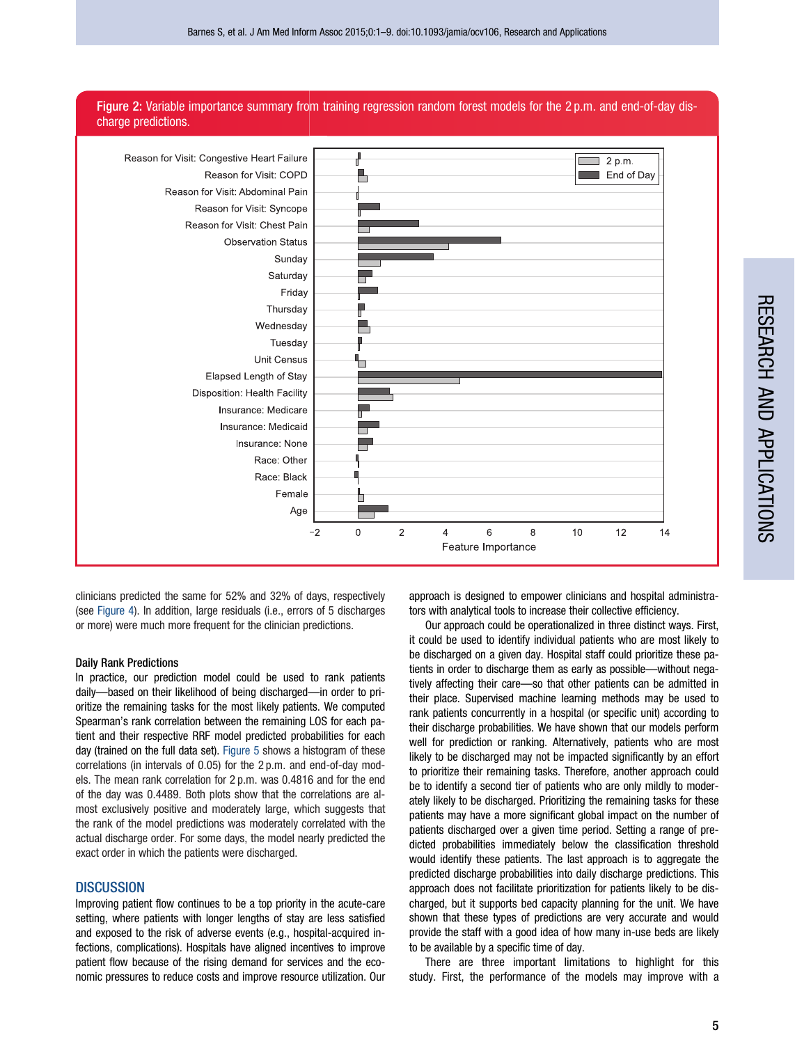<span id="page-4-0"></span>



clinicians predicted the same for 52% and 32% of days, respectively (see [Figure 4](#page-6-0)). In addition, large residuals (i.e., errors of 5 discharges or more) were much more frequent for the clinician predictions.

## Daily Rank Predictions

In practice, our prediction model could be used to rank patients daily—based on their likelihood of being discharged—in order to prioritize the remaining tasks for the most likely patients. We computed Spearman's rank correlation between the remaining LOS for each patient and their respective RRF model predicted probabilities for each day (trained on the full data set). [Figure 5](#page-6-0) shows a histogram of these correlations (in intervals of 0.05) for the 2 p.m. and end-of-day models. The mean rank correlation for 2 p.m. was 0.4816 and for the end of the day was 0.4489. Both plots show that the correlations are almost exclusively positive and moderately large, which suggests that the rank of the model predictions was moderately correlated with the actual discharge order. For some days, the model nearly predicted the exact order in which the patients were discharged.

## DISCUSSION

Improving patient flow continues to be a top priority in the acute-care setting, where patients with longer lengths of stay are less satisfied and exposed to the risk of adverse events (e.g., hospital-acquired infections, complications). Hospitals have aligned incentives to improve patient flow because of the rising demand for services and the economic pressures to reduce costs and improve resource utilization. Our

approach is designed to empower clinicians and hospital administrators with analytical tools to increase their collective efficiency.

Our approach could be operationalized in three distinct ways. First, it could be used to identify individual patients who are most likely to be discharged on a given day. Hospital staff could prioritize these patients in order to discharge them as early as possible—without negatively affecting their care—so that other patients can be admitted in their place. Supervised machine learning methods may be used to rank patients concurrently in a hospital (or specific unit) according to their discharge probabilities. We have shown that our models perform well for prediction or ranking. Alternatively, patients who are most likely to be discharged may not be impacted significantly by an effort to prioritize their remaining tasks. Therefore, another approach could be to identify a second tier of patients who are only mildly to moderately likely to be discharged. Prioritizing the remaining tasks for these patients may have a more significant global impact on the number of patients discharged over a given time period. Setting a range of predicted probabilities immediately below the classification threshold would identify these patients. The last approach is to aggregate the predicted discharge probabilities into daily discharge predictions. This approach does not facilitate prioritization for patients likely to be discharged, but it supports bed capacity planning for the unit. We have shown that these types of predictions are very accurate and would provide the staff with a good idea of how many in-use beds are likely to be available by a specific time of day.

There are three important limitations to highlight for this study. First, the performance of the models may improve with a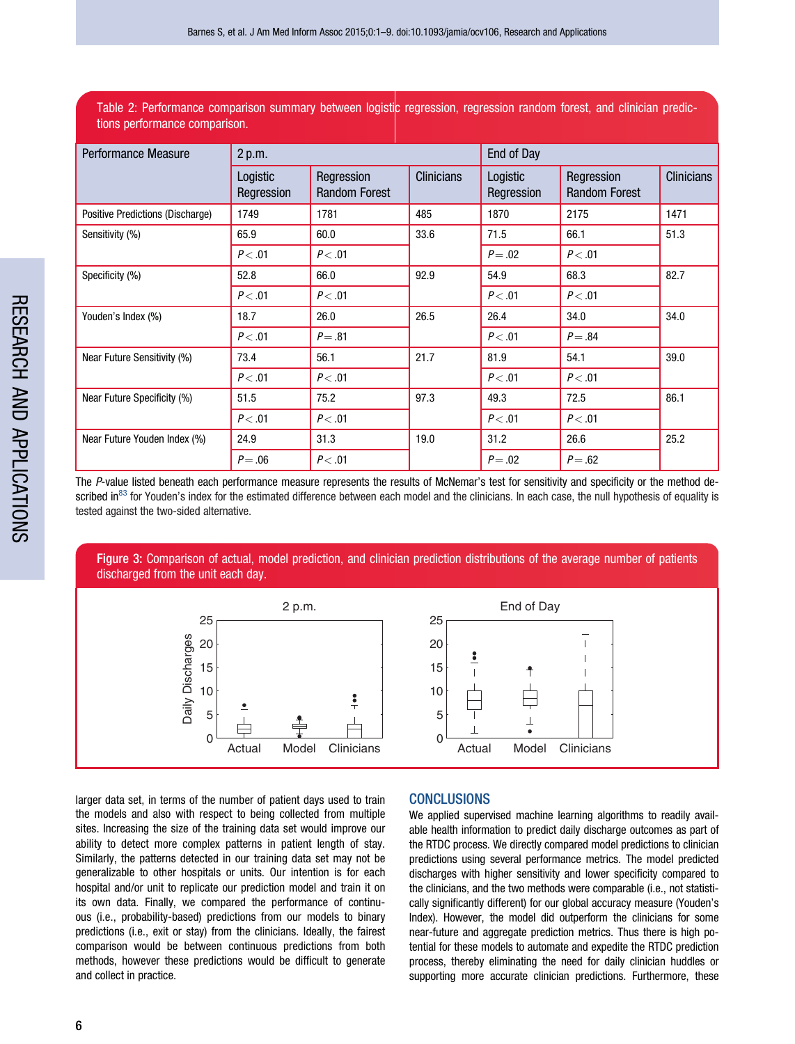<span id="page-5-0"></span>Table 2: Performance comparison summary between logistic regression, regression random forest, and clinician predictions performance comparison.

| Performance Measure              | 2 p.m.                 |                                    |                   | End of Day             |                                    |                   |
|----------------------------------|------------------------|------------------------------------|-------------------|------------------------|------------------------------------|-------------------|
|                                  | Logistic<br>Regression | Regression<br><b>Random Forest</b> | <b>Clinicians</b> | Logistic<br>Regression | Regression<br><b>Random Forest</b> | <b>Clinicians</b> |
| Positive Predictions (Discharge) | 1749                   | 1781                               | 485               | 1870                   | 2175                               | 1471              |
| Sensitivity (%)                  | 65.9                   | 60.0                               | 33.6              | 71.5                   | 66.1                               | 51.3              |
|                                  | P < .01                | P < .01                            |                   | $P = .02$              | P < .01                            |                   |
| Specificity (%)                  | 52.8                   | 66.0                               | 92.9              | 54.9                   | 68.3                               | 82.7              |
|                                  | P < .01                | P < .01                            |                   | P < .01                | P < .01                            |                   |
| Youden's Index (%)               | 18.7                   | 26.0                               | 26.5              | 26.4                   | 34.0                               | 34.0              |
|                                  | P < .01                | $P = .81$                          |                   | P < .01                | $P = .84$                          |                   |
| Near Future Sensitivity (%)      | 73.4                   | 56.1                               | 21.7              | 81.9                   | 54.1                               | 39.0              |
|                                  | P < .01                | P < .01                            |                   | P < .01                | P < .01                            |                   |
| Near Future Specificity (%)      | 51.5                   | 75.2                               | 97.3              | 49.3                   | 72.5                               | 86.1              |
|                                  | P < .01                | P < .01                            |                   | P < .01                | P < .01                            |                   |
| Near Future Youden Index (%)     | 24.9                   | 31.3                               | 19.0              | 31.2                   | 26.6                               | 25.2              |
|                                  | $P = .06$              | P < .01                            |                   | $P = .02$              | $P = .62$                          |                   |

The P-value listed beneath each performance measure represents the results of McNemar's test for sensitivity and specificity or the method de-scribed in<sup>[83](#page-8-0)</sup> for Youden's index for the estimated difference between each model and the clinicians. In each case, the null hypothesis of equality is tested against the two-sided alternative.

Figure 3: Comparison of actual, model prediction, and clinician prediction distributions of the average number of patients discharged from the unit each day.



larger data set, in terms of the number of patient days used to train the models and also with respect to being collected from multiple sites. Increasing the size of the training data set would improve our ability to detect more complex patterns in patient length of stay. Similarly, the patterns detected in our training data set may not be generalizable to other hospitals or units. Our intention is for each hospital and/or unit to replicate our prediction model and train it on its own data. Finally, we compared the performance of continuous (i.e., probability-based) predictions from our models to binary predictions (i.e., exit or stay) from the clinicians. Ideally, the fairest comparison would be between continuous predictions from both methods, however these predictions would be difficult to generate and collect in practice.

## **CONCLUSIONS**

We applied supervised machine learning algorithms to readily available health information to predict daily discharge outcomes as part of the RTDC process. We directly compared model predictions to clinician predictions using several performance metrics. The model predicted discharges with higher sensitivity and lower specificity compared to the clinicians, and the two methods were comparable (i.e., not statistically significantly different) for our global accuracy measure (Youden's Index). However, the model did outperform the clinicians for some near-future and aggregate prediction metrics. Thus there is high potential for these models to automate and expedite the RTDC prediction process, thereby eliminating the need for daily clinician huddles or supporting more accurate clinician predictions. Furthermore, these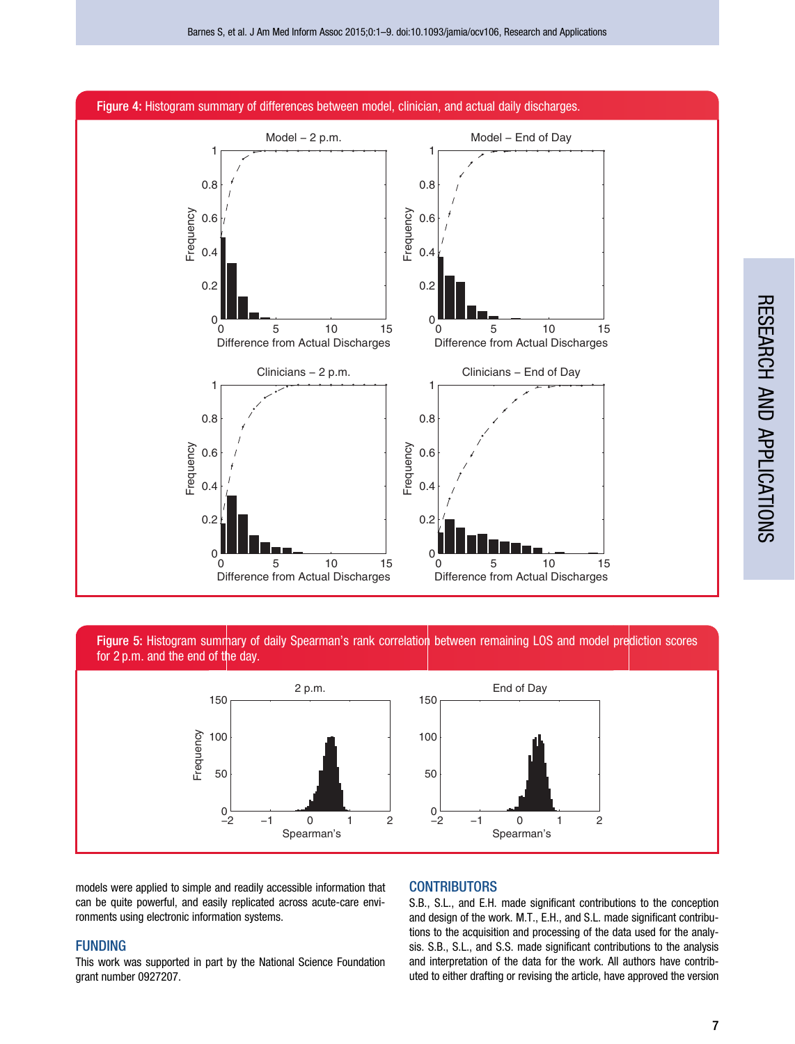<span id="page-6-0"></span>

Figure 5: Histogram summary of daily Spearman's rank correlation between remaining LOS and model prediction scores for 2 p.m. and the end of the day.



models were applied to simple and readily accessible information that can be quite powerful, and easily replicated across acute-care environments using electronic information systems.

# FUNDING

This work was supported in part by the National Science Foundation grant number 0927207.

# **CONTRIBUTORS**

S.B., S.L., and E.H. made significant contributions to the conception and design of the work. M.T., E.H., and S.L. made significant contributions to the acquisition and processing of the data used for the analysis. S.B., S.L., and S.S. made significant contributions to the analysis and interpretation of the data for the work. All authors have contributed to either drafting or revising the article, have approved the version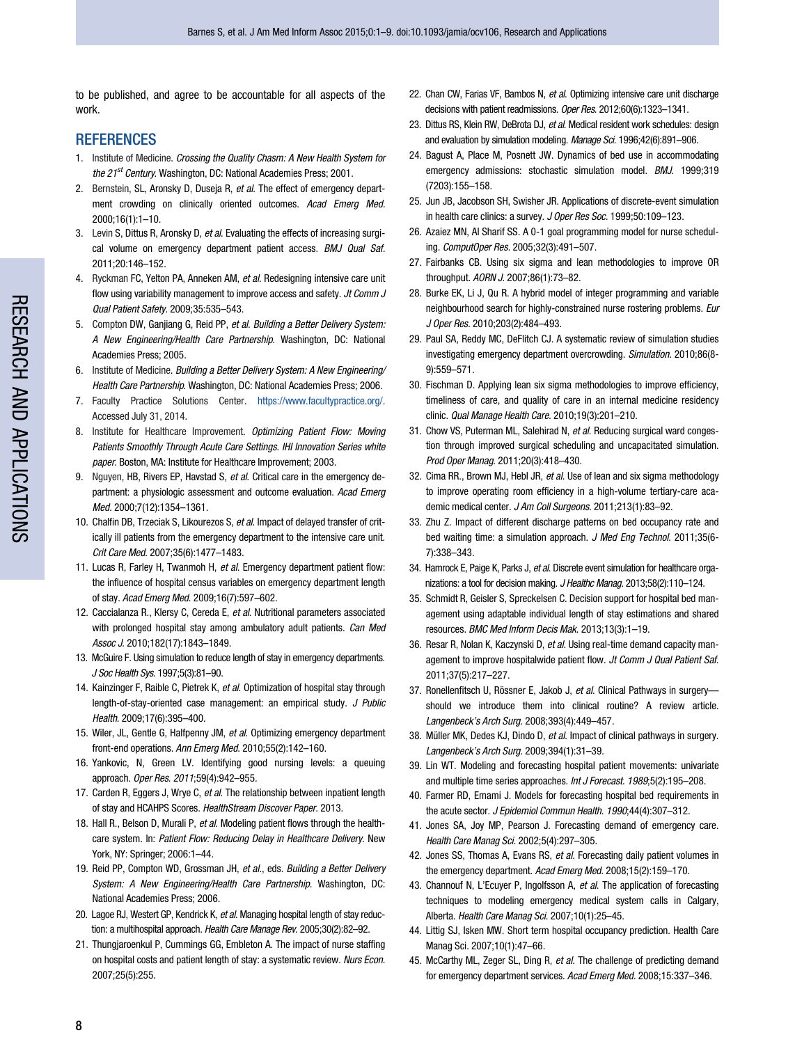<span id="page-7-0"></span>to be published, and agree to be accountable for all aspects of the work.

# **REFERENCES**

- 1. Institute of Medicine. Crossing the Quality Chasm: A New Health System for the 21<sup>st</sup> Century. Washington, DC: National Academies Press; 2001.
- 2. Bernstein, SL, Aronsky D, Duseja R, et al. The effect of emergency department crowding on clinically oriented outcomes. Acad Emerg Med. 2000;16(1):1–10.
- 3. Levin S, Dittus R, Aronsky D, et al. Evaluating the effects of increasing surgical volume on emergency department patient access. BMJ Qual Saf. 2011;20:146–152.
- 4. Ryckman FC, Yelton PA, Anneken AM, et al. Redesigning intensive care unit flow using variability management to improve access and safety. Jt Comm J Qual Patient Safety. 2009;35:535–543.
- 5. Compton DW, Ganijang G, Reid PP, et al. Building a Better Delivery System: A New Engineering/Health Care Partnership. Washington, DC: National Academies Press; 2005.
- 6. Institute of Medicine. Building a Better Delivery System: A New Engineering/ Health Care Partnership. Washington, DC: National Academies Press; 2006.
- 7. Faculty Practice Solutions Center. [https://www.facultypractice.org/.](https://www.facultypractice.org/) Accessed July 31, 2014.
- 8. Institute for Healthcare Improvement. Optimizing Patient Flow: Moving Patients Smoothly Through Acute Care Settings. IHI Innovation Series white paper. Boston, MA: Institute for Healthcare Improvement; 2003.
- 9. Nguyen, HB, Rivers EP, Havstad S, et al. Critical care in the emergency department: a physiologic assessment and outcome evaluation. Acad Emerg Med. 2000;7(12):1354–1361.
- 10. Chalfin DB, Trzeciak S, Likourezos S, et al. Impact of delayed transfer of critically ill patients from the emergency department to the intensive care unit. Crit Care Med. 2007;35(6):1477–1483.
- 11. Lucas R, Farley H, Twanmoh H, et al. Emergency department patient flow: the influence of hospital census variables on emergency department length of stay. Acad Emerg Med. 2009;16(7):597–602.
- 12. Caccialanza R., Klersy C, Cereda E, et al. Nutritional parameters associated with prolonged hospital stay among ambulatory adult patients. Can Med Assoc J. 2010;182(17):1843–1849.
- 13. McGuire F. Using simulation to reduce length of stay in emergency departments. J Soc Health Sys. 1997;5(3):81–90.
- 14. Kainzinger F, Raible C, Pietrek K, et al. Optimization of hospital stay through length-of-stay-oriented case management: an empirical study. J Public Health. 2009;17(6):395–400.
- 15. Wiler, JL, Gentle G, Halfpenny JM, et al. Optimizing emergency department front-end operations. Ann Emerg Med. 2010;55(2):142–160.
- 16. Yankovic, N, Green LV. Identifying good nursing levels: a queuing approach. Oper Res. 2011;59(4):942–955.
- 17. Carden R, Eggers J, Wrye C, et al. The relationship between inpatient length of stay and HCAHPS Scores. HealthStream Discover Paper. 2013.
- 18. Hall R., Belson D, Murali P, et al. Modeling patient flows through the healthcare system. In: Patient Flow: Reducing Delay in Healthcare Delivery. New York, NY: Springer; 2006:1–44.
- 19. Reid PP, Compton WD, Grossman JH, et al., eds. Building a Better Delivery System: A New Engineering/Health Care Partnership. Washington, DC: National Academies Press; 2006.
- 20. Lagoe RJ, Westert GP, Kendrick K, et al. Managing hospital length of stay reduction: a multihospital approach. Health Care Manage Rev. 2005;30(2):82-92.
- 21. Thungjaroenkul P, Cummings GG, Embleton A. The impact of nurse staffing on hospital costs and patient length of stay: a systematic review. Nurs Econ. 2007;25(5):255.
- 22. Chan CW, Farias VF, Bambos N, et al. Optimizing intensive care unit discharge decisions with patient readmissions. Oper Res. 2012;60(6):1323–1341.
- 23. Dittus RS, Klein RW, DeBrota DJ, et al. Medical resident work schedules: design and evaluation by simulation modeling. Manage Sci. 1996;42(6):891–906.
- 24. Bagust A, Place M, Posnett JW. Dynamics of bed use in accommodating emergency admissions: stochastic simulation model. **BMJ.** 1999:319 (7203):155–158.
- 25. Jun JB, Jacobson SH, Swisher JR. Applications of discrete-event simulation in health care clinics: a survey. J Oper Res Soc. 1999;50:109–123.
- 26. Azaiez MN, Al Sharif SS. A 0-1 goal programming model for nurse scheduling. ComputOper Res. 2005;32(3):491–507.
- 27. Fairbanks CB. Using six sigma and lean methodologies to improve OR throughput. AORN J. 2007;86(1):73–82.
- 28. Burke EK, Li J, Qu R. A hybrid model of integer programming and variable neighbourhood search for highly-constrained nurse rostering problems. Eur J Oper Res. 2010;203(2):484–493.
- 29. Paul SA, Reddy MC, DeFlitch CJ. A systematic review of simulation studies investigating emergency department overcrowding. Simulation. 2010;86(8- 9):559–571.
- 30. Fischman D. Applying lean six sigma methodologies to improve efficiency, timeliness of care, and quality of care in an internal medicine residency clinic. Qual Manage Health Care. 2010;19(3):201–210.
- 31. Chow VS, Puterman ML, Salehirad N, et al. Reducing surgical ward congestion through improved surgical scheduling and uncapacitated simulation. Prod Oper Manag. 2011;20(3):418–430.
- 32. Cima RR., Brown MJ, Hebl JR, et al. Use of lean and six sigma methodology to improve operating room efficiency in a high-volume tertiary-care academic medical center. J Am Coll Surgeons. 2011;213(1):83-92.
- 33. Zhu Z. Impact of different discharge patterns on bed occupancy rate and bed waiting time: a simulation approach. J Med Eng Technol. 2011;35(6-7):338–343.
- 34. Hamrock E, Paige K, Parks J, et al. Discrete event simulation for healthcare organizations: a tool for decision making. J Healthc Manag. 2013;58(2):110-124.
- 35. Schmidt R, Geisler S, Spreckelsen C. Decision support for hospital bed management using adaptable individual length of stay estimations and shared resources. BMC Med Inform Decis Mak. 2013;13(3):1–19.
- 36. Resar R, Nolan K, Kaczynski D, et al. Using real-time demand capacity management to improve hospitalwide patient flow. Jt Comm J Qual Patient Saf. 2011;37(5):217–227.
- 37. Ronellenfitsch U, Rössner E, Jakob J, et al. Clinical Pathways in surgeryshould we introduce them into clinical routine? A review article. Langenbeck's Arch Surg. 2008;393(4):449–457.
- 38. Müller MK, Dedes KJ, Dindo D, et al. Impact of clinical pathways in surgery. Langenbeck's Arch Surg. 2009;394(1):31–39.
- 39. Lin WT. Modeling and forecasting hospital patient movements: univariate and multiple time series approaches. Int J Forecast. 1989;5(2):195–208.
- 40. Farmer RD, Emami J. Models for forecasting hospital bed requirements in the acute sector. J Epidemiol Commun Health. 1990;44(4):307-312.
- 41. Jones SA, Joy MP, Pearson J. Forecasting demand of emergency care. Health Care Manag Sci. 2002;5(4):297–305.
- 42. Jones SS, Thomas A, Evans RS, et al. Forecasting daily patient volumes in the emergency department. Acad Emerg Med. 2008;15(2):159–170.
- 43. Channouf N, L'Ecuyer P, Ingolfsson A, et al. The application of forecasting techniques to modeling emergency medical system calls in Calgary, Alberta. Health Care Manag Sci. 2007;10(1):25–45.
- 44. Littig SJ, Isken MW. Short term hospital occupancy prediction. Health Care Manag Sci. 2007;10(1):47–66.
- 45. McCarthy ML, Zeger SL, Ding R, et al. The challenge of predicting demand for emergency department services. Acad Emerg Med. 2008;15:337–346.